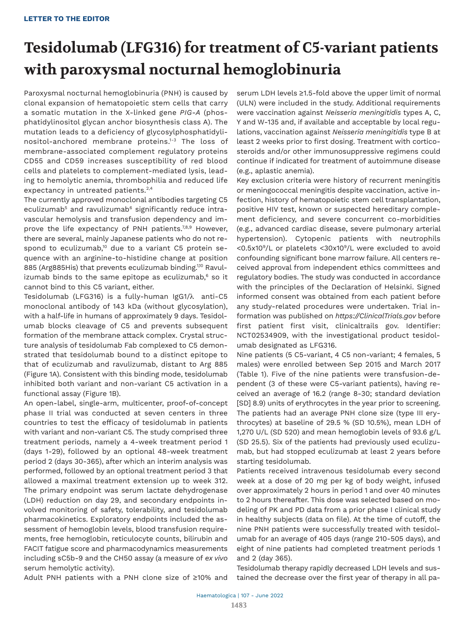# **Tesidolumab (LFG316) for treatment of C5-variant patients with paroxysmal nocturnal hemoglobinuria**

Paroxysmal nocturnal hemoglobinuria (PNH) is caused by clonal expansion of hematopoietic stem cells that carry a somatic mutation in the X-linked gene *PIG-A* (phosphatidylinositol glycan anchor biosynthesis class A). The mutation leads to a deficiency of glycosylphosphatidylinositol-anchored membrane proteins.1-3 The loss of membrane-associated complement regulatory proteins CD55 and CD59 increases susceptibility of red blood cells and platelets to complement-mediated lysis, leading to hemolytic anemia, thrombophilia and reduced life expectancy in untreated patients.<sup>2,4</sup>

The currently approved monoclonal antibodies targeting C5 eculizumab<sup>5</sup> and ravulizumab<sup>6</sup> significantly reduce intravascular hemolysis and transfusion dependency and improve the life expectancy of PNH patients.<sup>7,8,9</sup> However, there are several, mainly Japanese patients who do not respond to eculizumab,<sup>10</sup> due to a variant C5 protein sequence with an arginine-to-histidine change at position 885 (Arg885His) that prevents eculizumab binding.<sup>1,10</sup> Ravulizumab binds to the same epitope as eculizumab, $^{\circ}$  so it cannot bind to this C5 variant, either.

Tesidolumab (LFG316) is a fully-human IgG1/λ anti-C5 monoclonal antibody of 143 kDa (without glycosylation), with a half-life in humans of approximately 9 days. Tesidolumab blocks cleavage of C5 and prevents subsequent formation of the membrane attack complex. Crystal structure analysis of tesidolumab Fab complexed to C5 demonstrated that tesidolumab bound to a distinct epitope to that of eculizumab and ravulizumab, distant to Arg 885 (Figure 1A). Consistent with this binding mode, tesidolumab inhibited both variant and non-variant C5 activation in a functional assay (Figure 1B).

An open-label, single-arm, multicenter, proof-of-concept phase II trial was conducted at seven centers in three countries to test the efficacy of tesidolumab in patients with variant and non-variant C5. The study comprised three treatment periods, namely a 4-week treatment period 1 (days 1-29), followed by an optional 48-week treatment period 2 (days 30-365), after which an interim analysis was performed, followed by an optional treatment period 3 that allowed a maximal treatment extension up to week 312. The primary endpoint was serum lactate dehydrogenase (LDH) reduction on day 29, and secondary endpoints involved monitoring of safety, tolerability, and tesidolumab pharmacokinetics. Exploratory endpoints included the assessment of hemoglobin levels, blood transfusion requirements, free hemoglobin, reticulocyte counts, bilirubin and FACIT fatigue score and pharmacodynamics measurements including sC5b-9 and the CH50 assay (a measure of *ex vivo* serum hemolytic activity).

serum LDH levels ≥1.5-fold above the upper limit of normal (ULN) were included in the study. Additional requirements were vaccination against *Neisseria meningitidis* types A, C, Y and W-135 and, if available and acceptable by local regulations, vaccination against *Neisseria meningitidis* type B at least 2 weeks prior to first dosing. Treatment with cortico steroids and/or other immunosuppressive regimens could continue if indicated for treatment of autoimmune disease (e.g., aplastic anemia).

Key exclusion criteria were history of recurrent meningitis or meningococcal meningitis despite vaccination, active infection, history of hematopoietic stem cell transplantation, positive HIV test, known or suspected hereditary complement deficiency, and severe concurrent co-morbidities (e.g., advanced cardiac disease, severe pulmonary arterial hypertension). Cytopenic patients with neutrophils <0.5x10<sup>9</sup>/L or platelets <30x10<sup>9</sup>/L were excluded to avoid confounding significant bone marrow failure. All centers received approval from independent ethics committees and regulatory bodies. The study was conducted in accordance with the principles of the Declaration of Helsinki. Signed informed consent was obtained from each patient before any study-related procedures were undertaken. Trial information was published on *https://ClinicalTrials.gov* before first patient first visit, clinicaltrails gov. Identifier: NCT02534909, with the investigational product tesidolumab designated as LFG316.

Nine patients (5 C5-variant, 4 C5 non-variant; 4 females, 5 males) were enrolled between Sep 2015 and March 2017 (Table 1). Five of the nine patients were transfusion-dependent (3 of these were C5-variant patients), having received an average of 16.2 (range 8-30; standard deviation [SD] 8.9) units of erythrocytes in the year prior to screening. The patients had an average PNH clone size (type III erythrocytes) at baseline of 29.5 % (SD 10.5%), mean LDH of 1,270 U/L (SD 520) and mean hemoglobin levels of 93.6 g/L (SD 25.5). Six of the patients had previously used eculizumab, but had stopped eculizumab at least 2 years before starting tesidolumab.

Patients received intravenous tesidolumab every second week at a dose of 20 mg per kg of body weight, infused over approximately 2 hours in period 1 and over 40 minutes to 2 hours thereafter. This dose was selected based on modeling of PK and PD data from a prior phase I clinical study in healthy subjects (data on file). At the time of cutoff, the nine PNH patients were successfully treated with tesidolumab for an average of 405 days (range 210-505 days), and eight of nine patients had completed treatment periods 1 and 2 (day 365).

Tesidolumab therapy rapidly decreased LDH levels and sustained the decrease over the first year of therapy in all pa-

Adult PNH patients with a PNH clone size of ≥10% and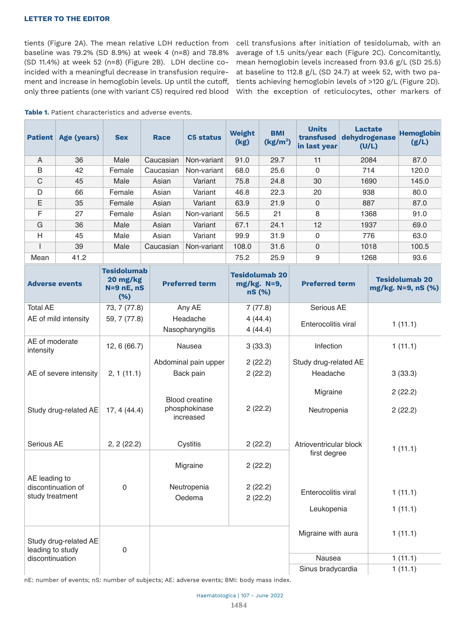## **LETTER TO THE EDITOR**

tients (Figure 2A). The mean relative LDH reduction from baseline was 79.2% (SD 8.9%) at week 4 (n=8) and 78.8% (SD 11.4%) at week 52 (n=8) (Figure 2B). LDH decline coincided with a meaningful decrease in transfusion requirement and increase in hemoglobin levels. Up until the cutoff, only three patients (one with variant C5) required red blood

cell transfusions after initiation of tesidolumab, with an average of 1.5 units/year each (Figure 2C). Concomitantly, mean hemoglobin levels increased from 93.6 g/L (SD 25.5) at baseline to 112.8 g/L (SD 24.7) at week 52, with two patients achieving hemoglobin levels of >120 g/L (Figure 2D). With the exception of reticulocytes, other markers of

| <b>Patient</b> | Age (years) | <b>Sex</b> | <b>Race</b> | <b>C5 status</b> | Weight<br>(kg) | <b>BMI</b><br>(kg/m <sup>2</sup> ) | <b>Units</b><br>transfused<br>in last year | <b>Lactate</b><br>dehydrogenase<br>(U/L) | <b>Hemoglobin</b><br>(g/L) |
|----------------|-------------|------------|-------------|------------------|----------------|------------------------------------|--------------------------------------------|------------------------------------------|----------------------------|
| $\overline{A}$ | 36          | Male       | Caucasian   | Non-variant      | 91.0           | 29.7                               | 11                                         | 2084                                     | 87.0                       |
| B              | 42          | Female     | Caucasian   | Non-variant      | 68.0           | 25.6                               | $\overline{0}$                             | 714                                      | 120.0                      |
| $\mathsf C$    | 45          | Male       | Asian       | Variant          | 75.8           | 24.8                               | 30                                         | 1690                                     | 145.0                      |
| D              | 66          | Female     | Asian       | Variant          | 46.8           | 22.3                               | 20                                         | 938                                      | 80.0                       |
| E              | 35          | Female     | Asian       | Variant          | 63.9           | 21.9                               | $\mathbf 0$                                | 887                                      | 87.0                       |
| F              | 27          | Female     | Asian       | Non-variant      | 56.5           | 21                                 | 8                                          | 1368                                     | 91.0                       |
| G              | 36          | Male       | Asian       | Variant          | 67.1           | 24.1                               | 12                                         | 1937                                     | 69.0                       |
| H              | 45          | Male       | Asian       | Variant          | 99.9           | 31.9                               | $\mathbf 0$                                | 776                                      | 63.0                       |
|                | 39          | Male       | Caucasian   | Non-variant      | 108.0          | 31.6                               | $\mathbf 0$                                | 1018                                     | 100.5                      |
| Mean           | 41.2        |            |             |                  | 75.2           | 25.9                               | 9                                          | 1268                                     | 93.6                       |

| <b>Adverse events</b>                                  | <b>Tesidolumab</b><br>20 mg/kg<br>$N=9$ nE, nS<br>(%) | <b>Preferred term</b>       | <b>Tesidolumab 20</b><br>mg/kg. N=9,<br>nS (%) | <b>Preferred term</b>                  | <b>Tesidolumab 20</b><br>mg/kg. N=9, nS (%) |
|--------------------------------------------------------|-------------------------------------------------------|-----------------------------|------------------------------------------------|----------------------------------------|---------------------------------------------|
| <b>Total AE</b>                                        | 73, 7 (77.8)                                          | Any AE                      | 7(77.8)                                        | Serious AE                             |                                             |
| AE of mild intensity                                   | 59, 7 (77.8)                                          | Headache<br>Nasopharyngitis | 4(44.4)<br>4(44.4)                             | Enterocolitis viral                    | 1(11.1)                                     |
| AE of moderate<br>intensity                            | 12, 6(66.7)                                           | <b>Nausea</b>               | 3(33.3)                                        | Infection                              | 1(11.1)                                     |
|                                                        |                                                       | Abdominal pain upper        | 2(22.2)                                        | Study drug-related AE                  |                                             |
| AE of severe intensity                                 | 2, 1(11.1)                                            | Back pain                   | 2(22.2)                                        | Headache                               | 3(33.3)                                     |
|                                                        |                                                       | <b>Blood creatine</b>       |                                                | Migraine                               | 2(22.2)                                     |
| Study drug-related AE                                  | 17, 4(44.4)                                           | phosphokinase<br>increased  | 2(22.2)                                        | Neutropenia                            | 2(22.2)                                     |
| Serious AE<br>2, 2(22.2)                               |                                                       | Cystitis                    | 2(22.2)                                        | Atrioventricular block<br>first degree | 1(11.1)                                     |
|                                                        | $\overline{0}$                                        | Migraine                    | 2(22.2)                                        |                                        |                                             |
| AE leading to<br>discontinuation of<br>study treatment |                                                       | Neutropenia<br>Oedema       | 2(22.2)<br>2(22.2)                             | Enterocolitis viral                    | 1(11.1)                                     |
|                                                        |                                                       |                             |                                                | Leukopenia                             | 1(11.1)                                     |
| Study drug-related AE<br>leading to study              | $\overline{0}$                                        |                             |                                                | Migraine with aura                     | 1(11.1)                                     |
| discontinuation                                        |                                                       |                             |                                                | <b>Nausea</b>                          | 1(11.1)                                     |
|                                                        |                                                       |                             |                                                | Sinus bradycardia                      | 1(11.1)                                     |

nE: number of events; nS: number of subjects; AE: adverse events; BMI: body mass index.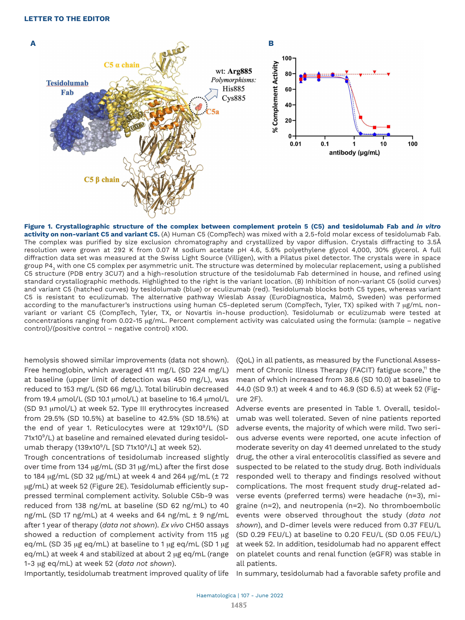

**Figure 1. Crystallographic structure of the complex between complement protein 5 (C5) and tesidolumab Fab and** *in vitro* **activity on non-variant C5 and variant C5.** (A) Human C5 (CompTech) was mixed with a 2.5-fold molar excess of tesidolumab Fab. The complex was purified by size exclusion chromatography and crystallized by vapor diffusion. Crystals diffracting to 3.5Å resolution were grown at 292 K from 0.07 M sodium acetate pH 4.6, 5.6% polyethylene glycol 4,000, 30% glycerol. A full diffraction data set was measured at the Swiss Light Source (Villigen), with a Pilatus pixel detector. The crystals were in space group P43 with one C5 complex per asymmetric unit. The structure was determined by molecular replacement, using a published C5 structure (PDB entry 3CU7) and a high-resolution structure of the tesidolumab Fab determined in house, and refined using standard crystallographic methods. Highlighted to the right is the variant location. (B) Inhibition of non-variant C5 (solid curves) and variant C5 (hatched curves) by tesidolumab (blue) or eculizumab (red). Tesidolumab blocks both C5 types, whereas variant C5 is resistant to eculizumab. The alternative pathway Wieslab Assay (EuroDiagnostica, Malmö, Sweden) was performed according to the manufacturer's instructions using human C5-depleted serum (CompTech, Tyler, TX) spiked with 7 µg/mL nonvariant or variant C5 (CompTech, Tyler, TX, or Novartis in-house production). Tesidolumab or eculizumab were tested at concentrations ranging from 0.02-15 µg/mL. Percent complement activity was calculated using the formula: (sample – negative control)/(positive control – negative control) x100.

hemolysis showed similar improvements (data not shown). Free hemoglobin, which averaged 411 mg/L (SD 224 mg/L) at baseline (upper limit of detection was 450 mg/L), was reduced to 153 mg/L (SD 66 mg/L). Total bilirubin decreased from 19.4  $\mu$ mol/L (SD 10.1  $\mu$ mol/L) at baseline to 16.4  $\mu$ mol/L (SD 9.1 mmol/L) at week 52. Type III erythrocytes increased from 29.5% (SD 10.5%) at baseline to 42.5% (SD 18.5%) at the end of year 1. Reticulocytes were at 129x10<sup>9</sup>/L (SD 71x10<sup>9</sup>/L) at baseline and remained elevated during tesidolumab therapy (139x10<sup>9</sup>/L [SD 71x10<sup>9</sup>/L] at week 52).

Trough concentrations of tesidolumab increased slightly over time from 134  $\mu$ g/mL (SD 31  $\mu$ g/mL) after the first dose to 184  $\mu$ g/mL (SD 32  $\mu$ g/mL) at week 4 and 264  $\mu$ g/mL ( $\pm$  72 µg/mL) at week 52 (Figure 2E). Tesidolumab efficiently suppressed terminal complement activity. Soluble C5b-9 was reduced from 138 ng/mL at baseline (SD 62 ng/mL) to 40 ng/mL (SD 17 ng/mL) at 4 weeks and 64 ng/mL ± 9 ng/mL after 1 year of therapy (*data not shown*). *Ex vivo* CH50 assays showed a reduction of complement activity from 115  $\mu$ g eq/mL (SD 35  $\mu$ g eq/mL) at baseline to 1  $\mu$ g eq/mL (SD 1  $\mu$ g eq/mL) at week 4 and stabilized at about 2  $\mu$ g eq/mL (range 1-3 mg eq/mL) at week 52 (*data not shown*).

(QoL) in all patients, as measured by the Functional Assessment of Chronic Illness Therapy (FACIT) fatigue score,<sup>11</sup> the mean of which increased from 38.6 (SD 10.0) at baseline to 44.0 (SD 9.1) at week 4 and to 46.9 (SD 6.5) at week 52 (Figure 2F).

Adverse events are presented in Table 1. Overall, tesidolumab was well tolerated. Seven of nine patients reported adverse events, the majority of which were mild. Two serious adverse events were reported, one acute infection of moderate severity on day 41 deemed unrelated to the study drug, the other a viral enterocolitis classified as severe and suspected to be related to the study drug. Both individuals responded well to therapy and findings resolved without complications. The most frequent study drug-related adverse events (preferred terms) were headache (n=3), migraine (n=2), and neutropenia (n=2). No thromboembolic events were observed throughout the study (*data not shown*), and D-dimer levels were reduced from 0.37 FEU/L (SD 0.29 FEU/L) at baseline to 0.20 FEU/L (SD 0.05 FEU/L) at week 52. In addition, tesidolumab had no apparent effect on platelet counts and renal function (eGFR) was stable in all patients.

Importantly, tesidolumab treatment improved quality of life In summary, tesidolumab had a favorable safety profile and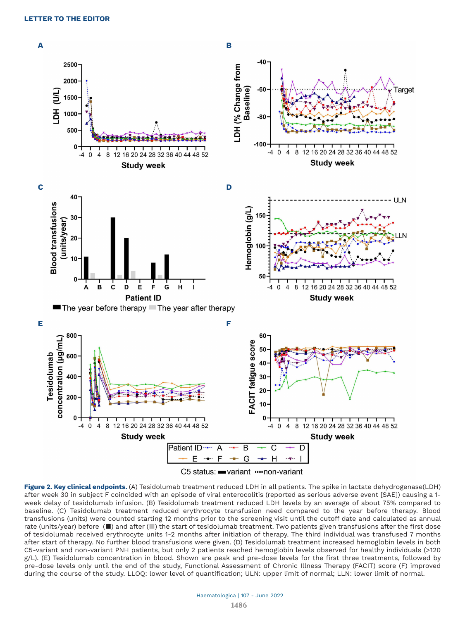

C5 status: www.mon-variant

**Figure 2. Key clinical endpoints.** (A) Tesidolumab treatment reduced LDH in all patients. The spike in lactate dehydrogenase(LDH) after week 30 in subject F coincided with an episode of viral enterocolitis (reported as serious adverse event [SAE]) causing a 1 week delay of tesidolumab infusion. (B) Tesidolumab treatment reduced LDH levels by an average of about 75% compared to baseline. (C) Tesidolumab treatment reduced erythrocyte transfusion need compared to the year before therapy. Blood transfusions (units) were counted starting 12 months prior to the screening visit until the cutoff date and calculated as annual rate (units/year) before ( $\blacksquare$ ) and after ( $\blacksquare$ ) the start of tesidolumab treatment. Two patients given transfusions after the first dose of tesidolumab received erythrocyte units 1-2 months after initiation of therapy. The third individual was transfused 7 months after start of therapy. No further blood transfusions were given. (D) Tesidolumab treatment increased hemoglobin levels in both C5-variant and non-variant PNH patients, but only 2 patients reached hemoglobin levels observed for healthy individuals (>120 g/L). (E) Tesidolumab concentration in blood. Shown are peak and pre-dose levels for the first three treatments, followed by pre-dose levels only until the end of the study, Functional Assessment of Chronic Illness Therapy (FACIT) score (F) improved during the course of the study. LLOQ: lower level of quantification; ULN: upper limit of normal; LLN: lower limit of normal.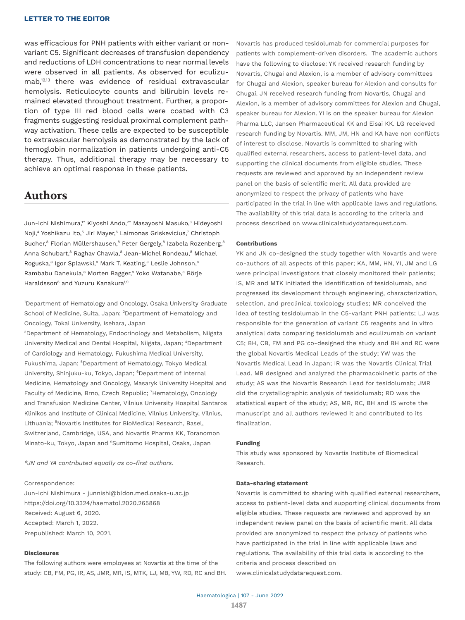### **LETTER TO THE EDITOR**

was efficacious for PNH patients with either variant or nonvariant C5. Significant decreases of transfusion dependency and reductions of LDH concentrations to near normal levels were observed in all patients. As observed for eculizumab,12,13 there was evidence of residual extravascular hemolysis. Reticulocyte counts and bilirubin levels remained elevated throughout treatment. Further, a proportion of type III red blood cells were coated with C3 fragments suggesting residual proximal complement pathway activation. These cells are expected to be susceptible to extravascular hemolysis as demonstrated by the lack of hemoglobin normalization in patients undergoing anti-C5 therapy. Thus, additional therapy may be necessary to achieve an optimal response in these patients.

## **Authors**

Jun-ichi Nishimura,1\* Kiyoshi Ando,<sup>2\*</sup> Masayoshi Masuko,<sup>3</sup> Hideyoshi Noji,<sup>4</sup> Yoshikazu Ito,<sup>5</sup> Jiri Mayer,<sup>6</sup> Laimonas Griskevicius,<sup>7</sup> Christoph Bucher,<sup>8</sup> Florian Müllershausen,<sup>8</sup> Peter Gergely,<sup>8</sup> Izabela Rozenberg,<sup>8</sup> Anna Schubart, $^8$  Raghav Chawla, $^8$  Jean-Michel Rondeau, $^8$  Michael Roguska,<sup>8</sup> Igor Splawski,<sup>8</sup> Mark T. Keating,<sup>8</sup> Leslie Johnson,<sup>8</sup> Rambabu Danekula,<sup>8</sup> Morten Bagger,<sup>8</sup> Yoko Watanabe,<sup>8</sup> Börje Haraldsson<sup>8</sup> and Yuzuru Kanakura<sup>1,9</sup>

1 Department of Hematology and Oncology, Osaka University Graduate School of Medicine, Suita, Japan; <sup>2</sup>Department of Hematology and Oncology, Tokai University, Isehara, Japan

3 Department of Hematology, Endocrinology and Metabolism, Niigata University Medical and Dental Hospital, Niigata, Japan; <sup>4</sup>Department of Cardiology and Hematology, Fukushima Medical University, Fukushima, Japan; <sup>5</sup>Department of Hematology, Tokyo Medical University, Shinjuku-ku, Tokyo, Japan; <sup>6</sup>Department of Internal Medicine, Hematology and Oncology, Masaryk University Hospital and Faculty of Medicine, Brno, Czech Republic; <sup>7</sup>Hematology, Oncology and Transfusion Medicine Center, Vilnius University Hospital Santaros Klinikos and Institute of Clinical Medicine, Vilnius University, Vilnius, Lithuania; <sup>8</sup>Novartis Institutes for BioMedical Research, Basel, Switzerland, Cambridge, USA, and Novartis Pharma KK, Toranomon Minato-ku, Tokyo, Japan and <sup>9</sup>Sumitomo Hospital, Osaka, Japan

*\*JN and YA contributed equally as co-first authors.*

#### Correspondence:

Jun-ichi Nishimura - junnishi@bldon.med.osaka-u.ac.jp https://doi.org/10.3324/haematol.2020.265868 Received: August 6, 2020. Accepted: March 1, 2022. Prepublished: March 10, 2021.

#### **Disclosures**

The following authors were employees at Novartis at the time of the study: CB, FM, PG, IR, AS, JMR, MR, IS, MTK, LJ, MB, YW, RD, RC and BH. Novartis has produced tesidolumab for commercial purposes for patients with complement-driven disorders. The academic authors have the following to disclose: YK received research funding by Novartis, Chugai and Alexion, is a member of advisory committees for Chugai and Alexion, speaker bureau for Alexion and consults for Chugai. JN received research funding from Novartis, Chugai and Alexion, is a member of advisory committees for Alexion and Chugai, speaker bureau for Alexion. YI is on the speaker bureau for Alexion Pharma LLC, Jansen Pharmaceutical KK and Eisai KK. LG receieved research funding by Novartis. MM, JM, HN and KA have non conflicts of interest to disclose. Novartis is committed to sharing with qualified external researchers, access to patient-level data, and supporting the clinical documents from eligible studies. These requests are reviewed and approved by an independent review panel on the basis of scientific merit. All data provided are anonymized to respect the privacy of patients who have participated in the trial in line with applicable laws and regulations. The availability of this trial data is according to the criteria and process described on www.clinicalstudydatarequest.com.

#### **Contributions**

YK and JN co-designed the study together with Novartis and were co-authors of all aspects of this paper; KA, MM, HN, YI, JM and LG were principal investigators that closely monitored their patients; IS, MR and MTK initiated the identification of tesidolumab, and progressed its development through engineering, characterization, selection, and preclinical toxicology studies; MR conceived the idea of testing tesidolumab in the C5-variant PNH patients; LJ was responsible for the generation of variant C5 reagents and in vitro analytical data comparing tesidolumab and eculizumab on variant C5; BH, CB, FM and PG co-designed the study and BH and RC were the global Novartis Medical Leads of the study; YW was the Novartis Medical Lead in Japan; IR was the Novartis Clinical Trial Lead. MB designed and analyzed the pharmacokinetic parts of the study; AS was the Novartis Research Lead for tesidolumab; JMR did the crystallographic analysis of tesidolumab; RD was the statistical expert of the study; AS, MR, RC, BH and IS wrote the manuscript and all authors reviewed it and contributed to its finalization.

#### **Funding**

This study was sponsored by Novartis Institute of Biomedical Research.

#### **Data-sharing statement**

Novartis is committed to sharing with qualified external researchers, access to patient-level data and supporting clinical documents from eligible studies. These requests are reviewed and approved by an independent review panel on the basis of scientific merit. All data provided are anonymized to respect the privacy of patients who have participated in the trial in line with applicable laws and regulations. The availability of this trial data is according to the criteria and process described on www.clinicalstudydatarequest.com.